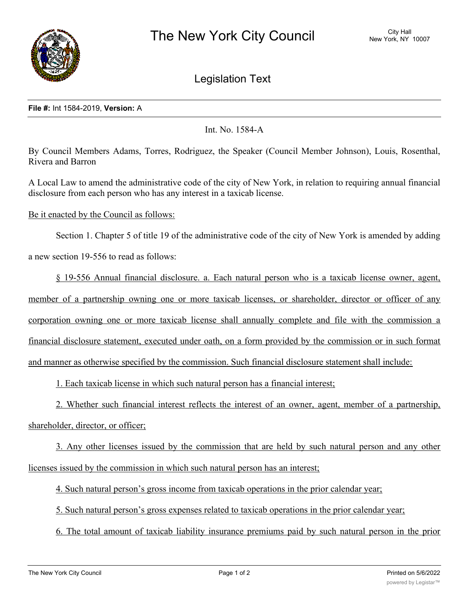

Legislation Text

## **File #:** Int 1584-2019, **Version:** A

Int. No. 1584-A

By Council Members Adams, Torres, Rodriguez, the Speaker (Council Member Johnson), Louis, Rosenthal, Rivera and Barron

A Local Law to amend the administrative code of the city of New York, in relation to requiring annual financial disclosure from each person who has any interest in a taxicab license.

Be it enacted by the Council as follows:

Section 1. Chapter 5 of title 19 of the administrative code of the city of New York is amended by adding a new section 19-556 to read as follows:

§ 19-556 Annual financial disclosure. a. Each natural person who is a taxicab license owner, agent, member of a partnership owning one or more taxicab licenses, or shareholder, director or officer of any corporation owning one or more taxicab license shall annually complete and file with the commission a financial disclosure statement, executed under oath, on a form provided by the commission or in such format and manner as otherwise specified by the commission. Such financial disclosure statement shall include:

1. Each taxicab license in which such natural person has a financial interest;

2. Whether such financial interest reflects the interest of an owner, agent, member of a partnership, shareholder, director, or officer;

3. Any other licenses issued by the commission that are held by such natural person and any other licenses issued by the commission in which such natural person has an interest;

4. Such natural person's gross income from taxicab operations in the prior calendar year;

5. Such natural person's gross expenses related to taxicab operations in the prior calendar year;

6. The total amount of taxicab liability insurance premiums paid by such natural person in the prior